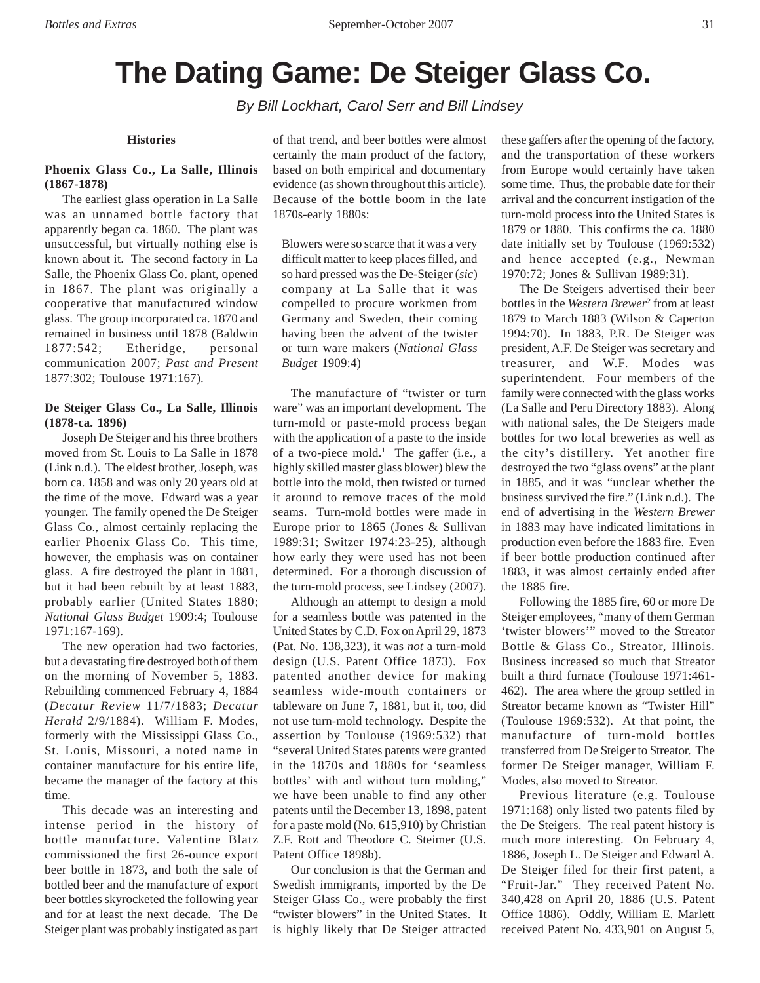# **The Dating Game: De Steiger Glass Co.**

*By Bill Lockhart, Carol Serr and Bill Lindsey*

#### **Histories**

# **Phoenix Glass Co., La Salle, Illinois (1867-1878)**

The earliest glass operation in La Salle was an unnamed bottle factory that apparently began ca. 1860. The plant was unsuccessful, but virtually nothing else is known about it. The second factory in La Salle, the Phoenix Glass Co. plant, opened in 1867. The plant was originally a cooperative that manufactured window glass. The group incorporated ca. 1870 and remained in business until 1878 (Baldwin 1877:542; Etheridge, personal communication 2007; *Past and Present* 1877:302; Toulouse 1971:167).

# **De Steiger Glass Co., La Salle, Illinois (1878-ca. 1896)**

Joseph De Steiger and his three brothers moved from St. Louis to La Salle in 1878 (Link n.d.). The eldest brother, Joseph, was born ca. 1858 and was only 20 years old at the time of the move. Edward was a year younger. The family opened the De Steiger Glass Co., almost certainly replacing the earlier Phoenix Glass Co. This time, however, the emphasis was on container glass. A fire destroyed the plant in 1881, but it had been rebuilt by at least 1883, probably earlier (United States 1880; *National Glass Budget* 1909:4; Toulouse 1971:167-169).

The new operation had two factories, but a devastating fire destroyed both of them on the morning of November 5, 1883. Rebuilding commenced February 4, 1884 (*Decatur Review* 11/7/1883; *Decatur Herald* 2/9/1884). William F. Modes, formerly with the Mississippi Glass Co., St. Louis, Missouri, a noted name in container manufacture for his entire life, became the manager of the factory at this time.

This decade was an interesting and intense period in the history of bottle manufacture. Valentine Blatz commissioned the first 26-ounce export beer bottle in 1873, and both the sale of bottled beer and the manufacture of export beer bottles skyrocketed the following year and for at least the next decade. The De Steiger plant was probably instigated as part

of that trend, and beer bottles were almost certainly the main product of the factory, based on both empirical and documentary evidence (as shown throughout this article). Because of the bottle boom in the late 1870s-early 1880s:

Blowers were so scarce that it was a very difficult matter to keep places filled, and so hard pressed was the De-Steiger (*sic*) company at La Salle that it was compelled to procure workmen from Germany and Sweden, their coming having been the advent of the twister or turn ware makers (*National Glass Budget* 1909:4)

The manufacture of "twister or turn ware" was an important development. The turn-mold or paste-mold process began with the application of a paste to the inside of a two-piece mold.<sup>1</sup> The gaffer (i.e., a highly skilled master glass blower) blew the bottle into the mold, then twisted or turned it around to remove traces of the mold seams. Turn-mold bottles were made in Europe prior to 1865 (Jones & Sullivan 1989:31; Switzer 1974:23-25), although how early they were used has not been determined. For a thorough discussion of the turn-mold process, see Lindsey (2007).

Although an attempt to design a mold for a seamless bottle was patented in the United States by C.D. Fox on April 29, 1873 (Pat. No. 138,323), it was *not* a turn-mold design (U.S. Patent Office 1873). Fox patented another device for making seamless wide-mouth containers or tableware on June 7, 1881, but it, too, did not use turn-mold technology. Despite the assertion by Toulouse (1969:532) that "several United States patents were granted in the 1870s and 1880s for 'seamless bottles' with and without turn molding," we have been unable to find any other patents until the December 13, 1898, patent for a paste mold (No. 615,910) by Christian Z.F. Rott and Theodore C. Steimer (U.S. Patent Office 1898b).

Our conclusion is that the German and Swedish immigrants, imported by the De Steiger Glass Co., were probably the first "twister blowers" in the United States. It is highly likely that De Steiger attracted these gaffers after the opening of the factory, and the transportation of these workers from Europe would certainly have taken some time. Thus, the probable date for their arrival and the concurrent instigation of the turn-mold process into the United States is 1879 or 1880. This confirms the ca. 1880 date initially set by Toulouse (1969:532) and hence accepted (e.g., Newman 1970:72; Jones & Sullivan 1989:31).

The De Steigers advertised their beer bottles in the *Western Brewer*<sup>2</sup> from at least 1879 to March 1883 (Wilson & Caperton 1994:70). In 1883, P.R. De Steiger was president, A.F. De Steiger was secretary and treasurer, and W.F. Modes was superintendent. Four members of the family were connected with the glass works (La Salle and Peru Directory 1883). Along with national sales, the De Steigers made bottles for two local breweries as well as the city's distillery. Yet another fire destroyed the two "glass ovens" at the plant in 1885, and it was "unclear whether the business survived the fire." (Link n.d.). The end of advertising in the *Western Brewer* in 1883 may have indicated limitations in production even before the 1883 fire. Even if beer bottle production continued after 1883, it was almost certainly ended after the 1885 fire.

Following the 1885 fire, 60 or more De Steiger employees, "many of them German 'twister blowers'" moved to the Streator Bottle & Glass Co., Streator, Illinois. Business increased so much that Streator built a third furnace (Toulouse 1971:461- 462). The area where the group settled in Streator became known as "Twister Hill" (Toulouse 1969:532). At that point, the manufacture of turn-mold bottles transferred from De Steiger to Streator. The former De Steiger manager, William F. Modes, also moved to Streator.

Previous literature (e.g. Toulouse 1971:168) only listed two patents filed by the De Steigers. The real patent history is much more interesting. On February 4, 1886, Joseph L. De Steiger and Edward A. De Steiger filed for their first patent, a "Fruit-Jar." They received Patent No. 340,428 on April 20, 1886 (U.S. Patent Office 1886). Oddly, William E. Marlett received Patent No. 433,901 on August 5,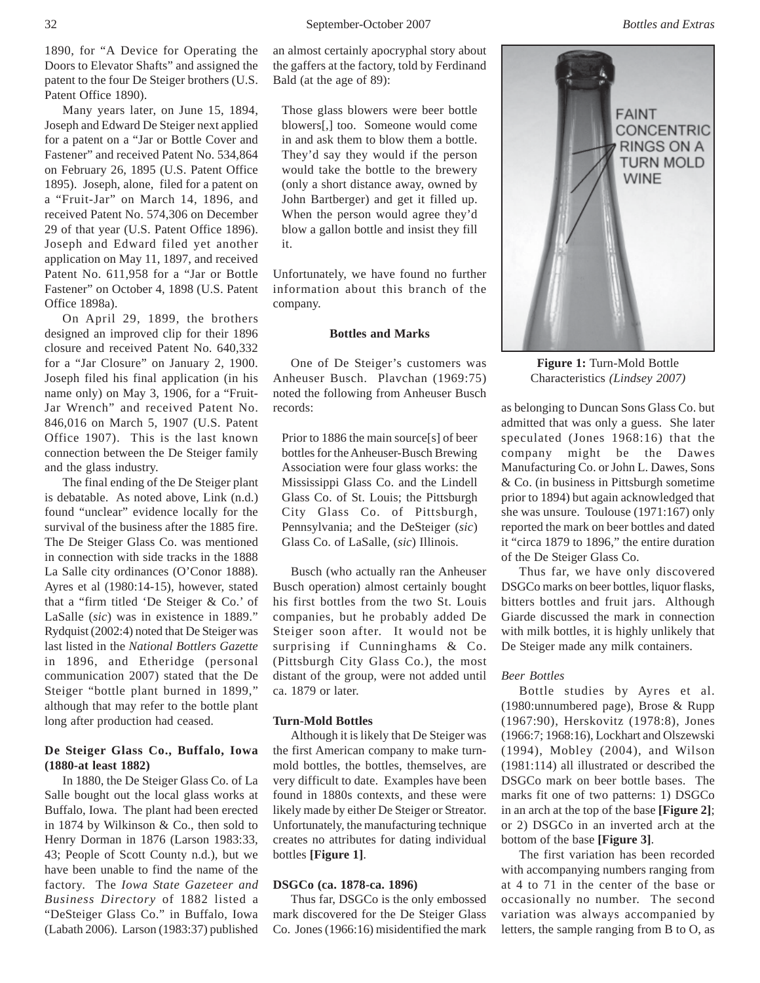1890, for "A Device for Operating the Doors to Elevator Shafts" and assigned the patent to the four De Steiger brothers (U.S. Patent Office 1890).

Many years later, on June 15, 1894, Joseph and Edward De Steiger next applied for a patent on a "Jar or Bottle Cover and Fastener" and received Patent No. 534,864 on February 26, 1895 (U.S. Patent Office 1895). Joseph, alone, filed for a patent on a "Fruit-Jar" on March 14, 1896, and received Patent No. 574,306 on December 29 of that year (U.S. Patent Office 1896). Joseph and Edward filed yet another application on May 11, 1897, and received Patent No. 611,958 for a "Jar or Bottle Fastener" on October 4, 1898 (U.S. Patent Office 1898a).

On April 29, 1899, the brothers designed an improved clip for their 1896 closure and received Patent No. 640,332 for a "Jar Closure" on January 2, 1900. Joseph filed his final application (in his name only) on May 3, 1906, for a "Fruit-Jar Wrench" and received Patent No. 846,016 on March 5, 1907 (U.S. Patent Office 1907). This is the last known connection between the De Steiger family and the glass industry.

The final ending of the De Steiger plant is debatable. As noted above, Link (n.d.) found "unclear" evidence locally for the survival of the business after the 1885 fire. The De Steiger Glass Co. was mentioned in connection with side tracks in the 1888 La Salle city ordinances (O'Conor 1888). Ayres et al (1980:14-15), however, stated that a "firm titled 'De Steiger & Co.' of LaSalle (*sic*) was in existence in 1889." Rydquist (2002:4) noted that De Steiger was last listed in the *National Bottlers Gazette* in 1896, and Etheridge (personal communication 2007) stated that the De Steiger "bottle plant burned in 1899," although that may refer to the bottle plant long after production had ceased.

# **De Steiger Glass Co., Buffalo, Iowa (1880-at least 1882)**

In 1880, the De Steiger Glass Co. of La Salle bought out the local glass works at Buffalo, Iowa. The plant had been erected in 1874 by Wilkinson & Co., then sold to Henry Dorman in 1876 (Larson 1983:33, 43; People of Scott County n.d.), but we have been unable to find the name of the factory. The *Iowa State Gazeteer and Business Directory* of 1882 listed a "DeSteiger Glass Co." in Buffalo, Iowa (Labath 2006). Larson (1983:37) published

an almost certainly apocryphal story about the gaffers at the factory, told by Ferdinand Bald (at the age of 89):

Those glass blowers were beer bottle blowers[,] too. Someone would come in and ask them to blow them a bottle. They'd say they would if the person would take the bottle to the brewery (only a short distance away, owned by John Bartberger) and get it filled up. When the person would agree they'd blow a gallon bottle and insist they fill it.

Unfortunately, we have found no further information about this branch of the company.

## **Bottles and Marks**

One of De Steiger's customers was Anheuser Busch. Plavchan (1969:75) noted the following from Anheuser Busch records:

Prior to 1886 the main source[s] of beer bottles for the Anheuser-Busch Brewing Association were four glass works: the Mississippi Glass Co. and the Lindell Glass Co. of St. Louis; the Pittsburgh City Glass Co. of Pittsburgh, Pennsylvania; and the DeSteiger (*sic*) Glass Co. of LaSalle, (*sic*) Illinois.

Busch (who actually ran the Anheuser Busch operation) almost certainly bought his first bottles from the two St. Louis companies, but he probably added De Steiger soon after. It would not be surprising if Cunninghams & Co. (Pittsburgh City Glass Co.), the most distant of the group, were not added until ca. 1879 or later.

#### **Turn-Mold Bottles**

Although it is likely that De Steiger was the first American company to make turnmold bottles, the bottles, themselves, are very difficult to date. Examples have been found in 1880s contexts, and these were likely made by either De Steiger or Streator. Unfortunately, the manufacturing technique creates no attributes for dating individual bottles **[Figure 1]**.

### **DSGCo (ca. 1878-ca. 1896)**

Thus far, DSGCo is the only embossed mark discovered for the De Steiger Glass Co. Jones (1966:16) misidentified the mark



**Figure 1:** Turn-Mold Bottle Characteristics *(Lindsey 2007)*

as belonging to Duncan Sons Glass Co. but admitted that was only a guess. She later speculated (Jones 1968:16) that the company might be the Dawes Manufacturing Co. or John L. Dawes, Sons & Co. (in business in Pittsburgh sometime prior to 1894) but again acknowledged that she was unsure. Toulouse (1971:167) only reported the mark on beer bottles and dated it "circa 1879 to 1896," the entire duration of the De Steiger Glass Co.

Thus far, we have only discovered DSGCo marks on beer bottles, liquor flasks, bitters bottles and fruit jars. Although Giarde discussed the mark in connection with milk bottles, it is highly unlikely that De Steiger made any milk containers.

# *Beer Bottles*

Bottle studies by Ayres et al. (1980:unnumbered page), Brose & Rupp (1967:90), Herskovitz (1978:8), Jones (1966:7; 1968:16), Lockhart and Olszewski (1994), Mobley (2004), and Wilson (1981:114) all illustrated or described the DSGCo mark on beer bottle bases. The marks fit one of two patterns: 1) DSGCo in an arch at the top of the base **[Figure 2]**; or 2) DSGCo in an inverted arch at the bottom of the base **[Figure 3]**.

The first variation has been recorded with accompanying numbers ranging from at 4 to 71 in the center of the base or occasionally no number. The second variation was always accompanied by letters, the sample ranging from B to O, as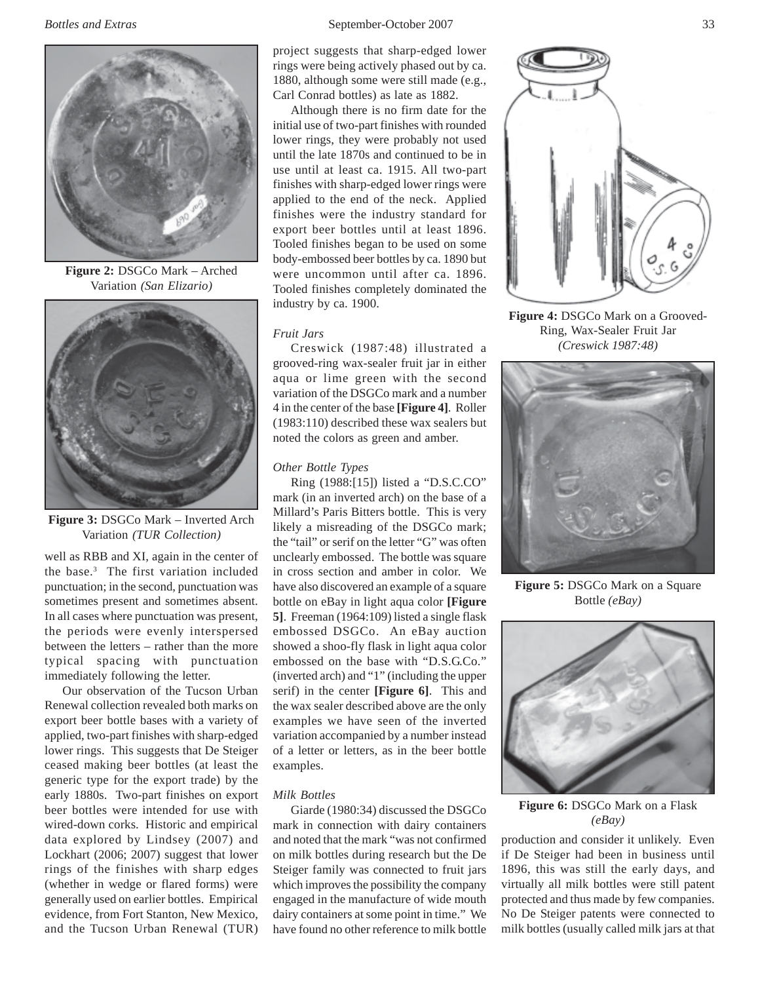

**Figure 2:** DSGCo Mark – Arched Variation *(San Elizario)*



**Figure 3:** DSGCo Mark – Inverted Arch Variation *(TUR Collection)*

well as RBB and XI, again in the center of the base.3 The first variation included punctuation; in the second, punctuation was sometimes present and sometimes absent. In all cases where punctuation was present, the periods were evenly interspersed between the letters – rather than the more typical spacing with punctuation immediately following the letter.

Our observation of the Tucson Urban Renewal collection revealed both marks on export beer bottle bases with a variety of applied, two-part finishes with sharp-edged lower rings. This suggests that De Steiger ceased making beer bottles (at least the generic type for the export trade) by the early 1880s. Two-part finishes on export beer bottles were intended for use with wired-down corks. Historic and empirical data explored by Lindsey (2007) and Lockhart (2006; 2007) suggest that lower rings of the finishes with sharp edges (whether in wedge or flared forms) were generally used on earlier bottles. Empirical evidence, from Fort Stanton, New Mexico, and the Tucson Urban Renewal (TUR)

project suggests that sharp-edged lower rings were being actively phased out by ca. 1880, although some were still made (e.g., Carl Conrad bottles) as late as 1882.

Although there is no firm date for the initial use of two-part finishes with rounded lower rings, they were probably not used until the late 1870s and continued to be in use until at least ca. 1915. All two-part finishes with sharp-edged lower rings were applied to the end of the neck. Applied finishes were the industry standard for export beer bottles until at least 1896. Tooled finishes began to be used on some body-embossed beer bottles by ca. 1890 but were uncommon until after ca. 1896. Tooled finishes completely dominated the industry by ca. 1900.

## *Fruit Jars*

Creswick (1987:48) illustrated a grooved-ring wax-sealer fruit jar in either aqua or lime green with the second variation of the DSGCo mark and a number 4 in the center of the base **[Figure 4]**. Roller (1983:110) described these wax sealers but noted the colors as green and amber.

#### *Other Bottle Types*

Ring (1988:[15]) listed a "D.S.C.CO" mark (in an inverted arch) on the base of a Millard's Paris Bitters bottle. This is very likely a misreading of the DSGCo mark; the "tail" or serif on the letter "G" was often unclearly embossed. The bottle was square in cross section and amber in color. We have also discovered an example of a square bottle on eBay in light aqua color **[Figure 5]**. Freeman (1964:109) listed a single flask embossed DSGCo. An eBay auction showed a shoo-fly flask in light aqua color embossed on the base with "D.S.G.Co." (inverted arch) and "1" (including the upper serif) in the center **[Figure 6]**. This and the wax sealer described above are the only examples we have seen of the inverted variation accompanied by a number instead of a letter or letters, as in the beer bottle examples.

#### *Milk Bottles*

Giarde (1980:34) discussed the DSGCo mark in connection with dairy containers and noted that the mark "was not confirmed on milk bottles during research but the De Steiger family was connected to fruit jars which improves the possibility the company engaged in the manufacture of wide mouth dairy containers at some point in time." We have found no other reference to milk bottle



**Figure 4:** DSGCo Mark on a Grooved-Ring, Wax-Sealer Fruit Jar *(Creswick 1987:48)*



**Figure 5:** DSGCo Mark on a Square Bottle *(eBay)*



**Figure 6:** DSGCo Mark on a Flask *(eBay)*

production and consider it unlikely. Even if De Steiger had been in business until 1896, this was still the early days, and virtually all milk bottles were still patent protected and thus made by few companies. No De Steiger patents were connected to milk bottles (usually called milk jars at that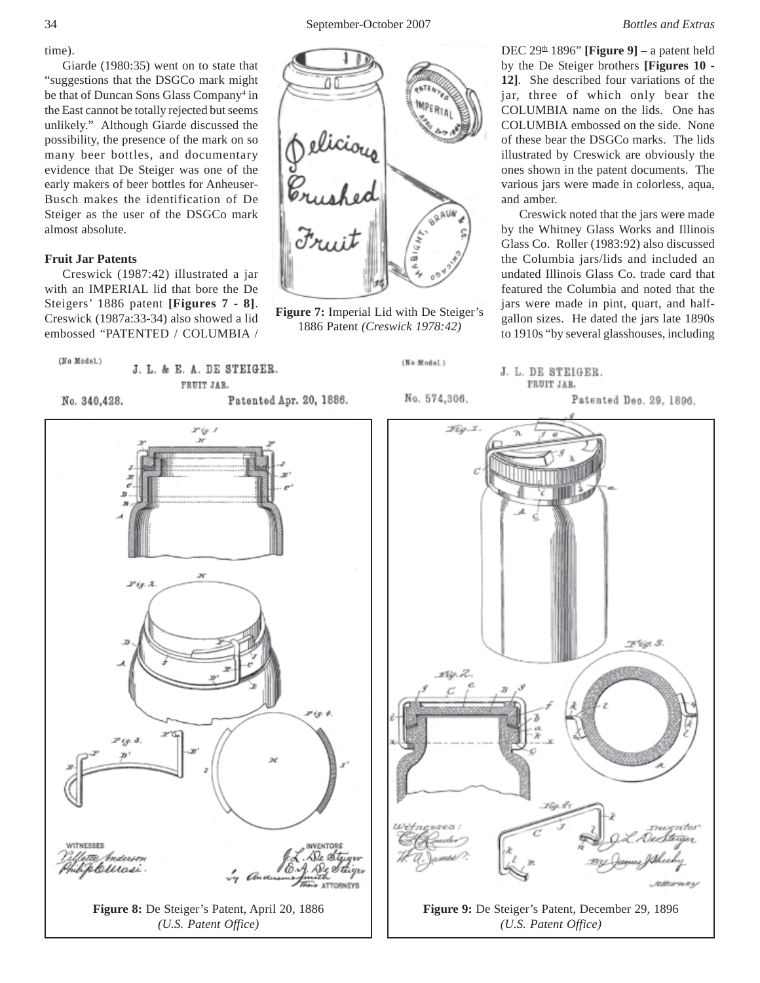time).

Giarde (1980:35) went on to state that "suggestions that the DSGCo mark might be that of Duncan Sons Glass Company<sup>4</sup> in the East cannot be totally rejected but seems unlikely." Although Giarde discussed the possibility, the presence of the mark on so many beer bottles, and documentary evidence that De Steiger was one of the early makers of beer bottles for Anheuser-Busch makes the identification of De Steiger as the user of the DSGCo mark almost absolute.

# **Fruit Jar Patents**

Creswick (1987:42) illustrated a jar with an IMPERIAL lid that bore the De Steigers' 1886 patent **[Figures 7 - 8]**. Creswick (1987a:33-34) also showed a lid embossed "PATENTED / COLUMBIA /



**Figure 7:** Imperial Lid with De Steiger's 1886 Patent *(Creswick 1978:42)*

DEC  $29<sup>th</sup> 1896$ " **[Figure 9]** – a patent held by the De Steiger brothers **[Figures 10 - 12]**. She described four variations of the jar, three of which only bear the COLUMBIA name on the lids. One has COLUMBIA embossed on the side. None of these bear the DSGCo marks. The lids illustrated by Creswick are obviously the ones shown in the patent documents. The various jars were made in colorless, aqua, and amber.

Creswick noted that the jars were made by the Whitney Glass Works and Illinois Glass Co. Roller (1983:92) also discussed the Columbia jars/lids and included an undated Illinois Glass Co. trade card that featured the Columbia and noted that the jars were made in pint, quart, and halfgallon sizes. He dated the jars late 1890s to 1910s "by several glasshouses, including

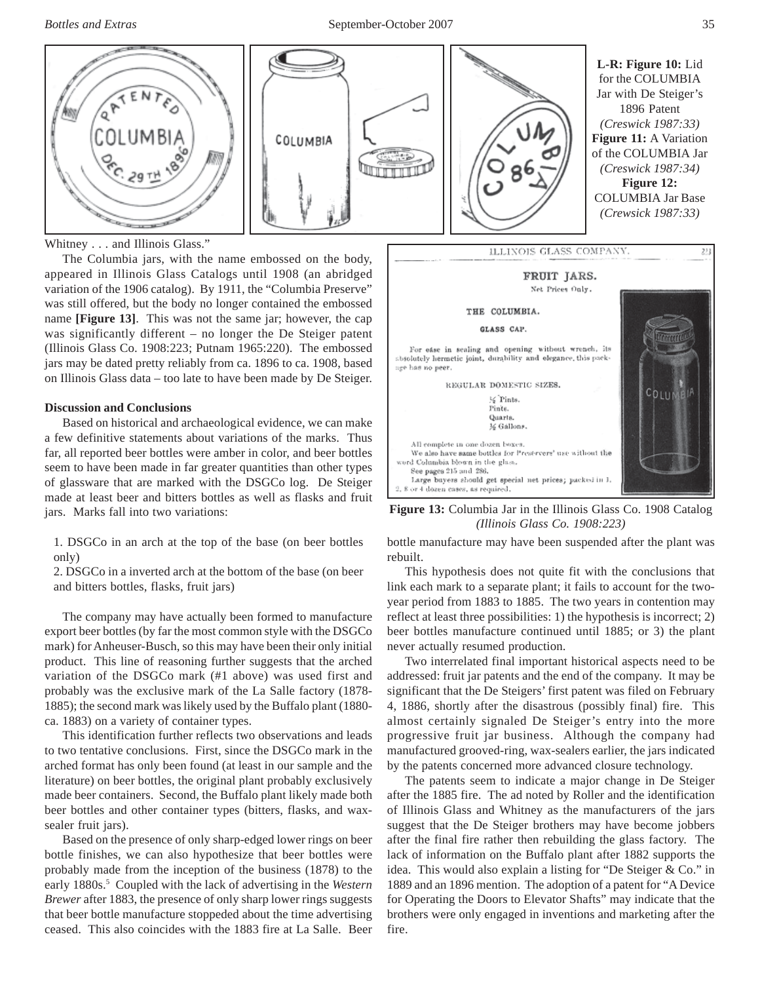

Whitney . . . and Illinois Glass."

The Columbia jars, with the name embossed on the body, appeared in Illinois Glass Catalogs until 1908 (an abridged variation of the 1906 catalog). By 1911, the "Columbia Preserve" was still offered, but the body no longer contained the embossed name **[Figure 13]**. This was not the same jar; however, the cap was significantly different – no longer the De Steiger patent (Illinois Glass Co. 1908:223; Putnam 1965:220). The embossed jars may be dated pretty reliably from ca. 1896 to ca. 1908, based on Illinois Glass data – too late to have been made by De Steiger.

## **Discussion and Conclusions**

Based on historical and archaeological evidence, we can make a few definitive statements about variations of the marks. Thus far, all reported beer bottles were amber in color, and beer bottles seem to have been made in far greater quantities than other types of glassware that are marked with the DSGCo log. De Steiger made at least beer and bitters bottles as well as flasks and fruit jars. Marks fall into two variations:

1. DSGCo in an arch at the top of the base (on beer bottles only)

2. DSGCo in a inverted arch at the bottom of the base (on beer and bitters bottles, flasks, fruit jars)

The company may have actually been formed to manufacture export beer bottles (by far the most common style with the DSGCo mark) for Anheuser-Busch, so this may have been their only initial product. This line of reasoning further suggests that the arched variation of the DSGCo mark (#1 above) was used first and probably was the exclusive mark of the La Salle factory (1878- 1885); the second mark was likely used by the Buffalo plant (1880 ca. 1883) on a variety of container types.

This identification further reflects two observations and leads to two tentative conclusions. First, since the DSGCo mark in the arched format has only been found (at least in our sample and the literature) on beer bottles, the original plant probably exclusively made beer containers. Second, the Buffalo plant likely made both beer bottles and other container types (bitters, flasks, and waxsealer fruit jars).

Based on the presence of only sharp-edged lower rings on beer bottle finishes, we can also hypothesize that beer bottles were probably made from the inception of the business (1878) to the early 1880s.<sup>5</sup> Coupled with the lack of advertising in the *Western Brewer* after 1883, the presence of only sharp lower rings suggests that beer bottle manufacture stoppeded about the time advertising ceased. This also coincides with the 1883 fire at La Salle. Beer



**Figure 13:** Columbia Jar in the Illinois Glass Co. 1908 Catalog *(Illinois Glass Co. 1908:223)*

bottle manufacture may have been suspended after the plant was rebuilt.

This hypothesis does not quite fit with the conclusions that link each mark to a separate plant; it fails to account for the twoyear period from 1883 to 1885. The two years in contention may reflect at least three possibilities: 1) the hypothesis is incorrect; 2) beer bottles manufacture continued until 1885; or 3) the plant never actually resumed production.

Two interrelated final important historical aspects need to be addressed: fruit jar patents and the end of the company. It may be significant that the De Steigers' first patent was filed on February 4, 1886, shortly after the disastrous (possibly final) fire. This almost certainly signaled De Steiger's entry into the more progressive fruit jar business. Although the company had manufactured grooved-ring, wax-sealers earlier, the jars indicated by the patents concerned more advanced closure technology.

The patents seem to indicate a major change in De Steiger after the 1885 fire. The ad noted by Roller and the identification of Illinois Glass and Whitney as the manufacturers of the jars suggest that the De Steiger brothers may have become jobbers after the final fire rather then rebuilding the glass factory. The lack of information on the Buffalo plant after 1882 supports the idea. This would also explain a listing for "De Steiger & Co." in 1889 and an 1896 mention. The adoption of a patent for "A Device for Operating the Doors to Elevator Shafts" may indicate that the brothers were only engaged in inventions and marketing after the fire.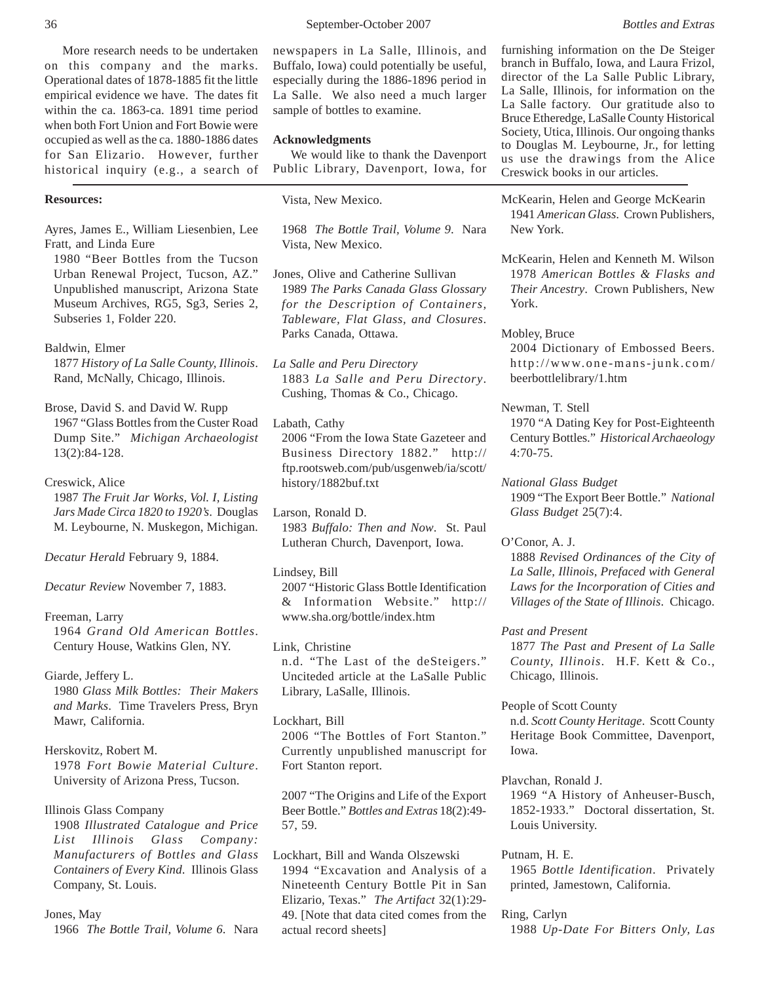More research needs to be undertaken on this company and the marks. Operational dates of 1878-1885 fit the little empirical evidence we have. The dates fit within the ca. 1863-ca. 1891 time period when both Fort Union and Fort Bowie were occupied as well as the ca. 1880-1886 dates for San Elizario. However, further historical inquiry (e.g., a search of

# **Resources:**

Ayres, James E., William Liesenbien, Lee Fratt, and Linda Eure

1980 "Beer Bottles from the Tucson Urban Renewal Project, Tucson, AZ." Unpublished manuscript, Arizona State Museum Archives, RG5, Sg3, Series 2, Subseries 1, Folder 220.

Baldwin, Elmer

1877 *History of La Salle County, Illinois*. Rand, McNally, Chicago, Illinois.

Brose, David S. and David W. Rupp 1967 "Glass Bottles from the Custer Road Dump Site." *Michigan Archaeologist* 13(2):84-128.

## Creswick, Alice

1987 *The Fruit Jar Works, Vol. I, Listing Jars Made Circa 1820 to 1920's*. Douglas M. Leybourne, N. Muskegon, Michigan.

*Decatur Herald* February 9, 1884.

*Decatur Review* November 7, 1883.

## Freeman, Larry

1964 *Grand Old American Bottles*. Century House, Watkins Glen, NY.

Giarde, Jeffery L.

1980 *Glass Milk Bottles: Their Makers and Marks*. Time Travelers Press, Bryn Mawr, California.

Herskovitz, Robert M. 1978 *Fort Bowie Material Culture*. University of Arizona Press, Tucson.

Illinois Glass Company

1908 *Illustrated Catalogue and Price List Illinois Glass Company: Manufacturers of Bottles and Glass Containers of Every Kind*. Illinois Glass Company, St. Louis.

Jones, May 1966 *The Bottle Trail, Volume 6*. Nara newspapers in La Salle, Illinois, and Buffalo, Iowa) could potentially be useful, especially during the 1886-1896 period in La Salle. We also need a much larger sample of bottles to examine.

## **Acknowledgments**

We would like to thank the Davenport Public Library, Davenport, Iowa, for

Vista, New Mexico.

1968 *The Bottle Trail, Volume 9*. Nara Vista, New Mexico.

- Jones, Olive and Catherine Sullivan 1989 *The Parks Canada Glass Glossary for the Description of Containers, Tableware, Flat Glass, and Closures*. Parks Canada, Ottawa.
- *La Salle and Peru Directory* 1883 *La Salle and Peru Directory*. Cushing, Thomas & Co., Chicago.
- Labath, Cathy 2006 "From the Iowa State Gazeteer and Business Directory 1882." http:// ftp.rootsweb.com/pub/usgenweb/ia/scott/ history/1882buf.txt
- Larson, Ronald D. 1983 *Buffalo: Then and Now*. St. Paul Lutheran Church, Davenport, Iowa.
- Lindsey, Bill

2007 "Historic Glass Bottle Identification & Information Website." http:// www.sha.org/bottle/index.htm

Link, Christine n.d. "The Last of the deSteigers." Unciteded article at the LaSalle Public Library, LaSalle, Illinois.

Lockhart, Bill 2006 "The Bottles of Fort Stanton." Currently unpublished manuscript for Fort Stanton report.

2007 "The Origins and Life of the Export Beer Bottle." *Bottles and Extras* 18(2):49- 57, 59.

Lockhart, Bill and Wanda Olszewski 1994 "Excavation and Analysis of a Nineteenth Century Bottle Pit in San Elizario, Texas." *The Artifact* 32(1):29- 49. [Note that data cited comes from the actual record sheets]

furnishing information on the De Steiger branch in Buffalo, Iowa, and Laura Frizol, director of the La Salle Public Library, La Salle, Illinois, for information on the La Salle factory. Our gratitude also to Bruce Etheredge, LaSalle County Historical Society, Utica, Illinois. Our ongoing thanks to Douglas M. Leybourne, Jr., for letting us use the drawings from the Alice Creswick books in our articles.

McKearin, Helen and George McKearin 1941 *American Glass*. Crown Publishers, New York.

McKearin, Helen and Kenneth M. Wilson 1978 *American Bottles & Flasks and Their Ancestry*. Crown Publishers, New York.

Mobley, Bruce

2004 Dictionary of Embossed Beers. http://www.one-mans-junk.com/ beerbottlelibrary/1.htm

Newman, T. Stell

1970 "A Dating Key for Post-Eighteenth Century Bottles." *Historical Archaeology* 4:70-75.

*National Glass Budget* 1909 "The Export Beer Bottle." *National Glass Budget* 25(7):4.

O'Conor, A. J.

1888 *Revised Ordinances of the City of La Salle, Illinois, Prefaced with General Laws for the Incorporation of Cities and Villages of the State of Illinois*. Chicago.

*Past and Present*

1877 *The Past and Present of La Salle County, Illinois*. H.F. Kett & Co., Chicago, Illinois.

People of Scott County

n.d. *Scott County Heritage*. Scott County Heritage Book Committee, Davenport, Iowa.

Plavchan, Ronald J.

1969 "A History of Anheuser-Busch, 1852-1933." Doctoral dissertation, St. Louis University.

Putnam, H. E. 1965 *Bottle Identification*. Privately printed, Jamestown, California.

Ring, Carlyn 1988 *Up-Date For Bitters Only, Las*